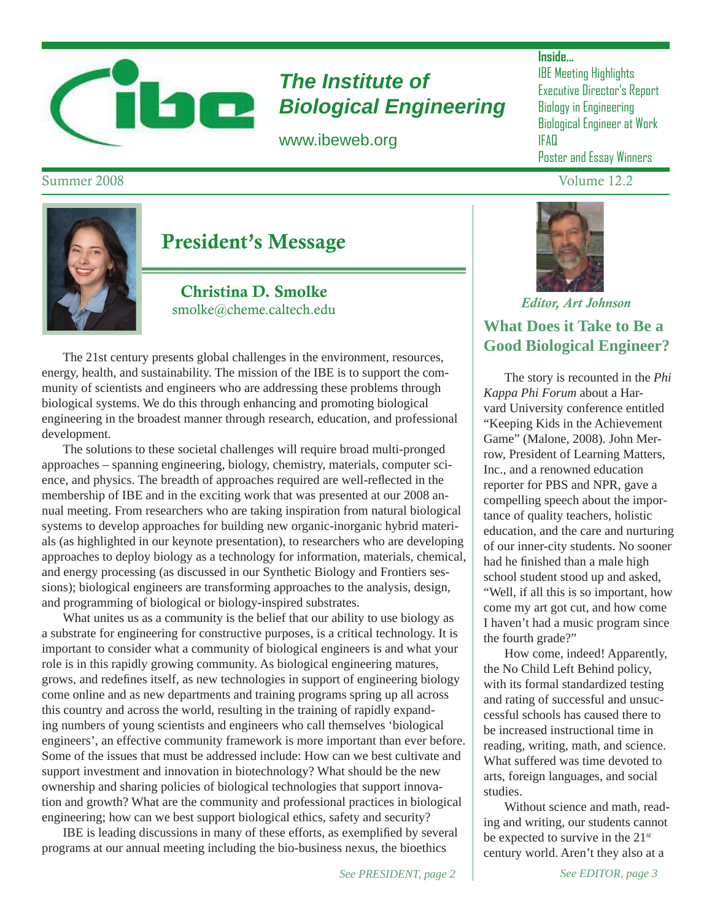

# *The Institute of Biological Engineering*

www.ibeweb.org

### **Inside...**

IBE Meeting Highlights Executive Director's Report Biology in Engineering Biological Engineer at Work IFAQ Poster and Essay Winners



# President's Message

Christina D. Smolke smolke@cheme.caltech.edu

 The 21st century presents global challenges in the environment, resources, energy, health, and sustainability. The mission of the IBE is to support the community of scientists and engineers who are addressing these problems through biological systems. We do this through enhancing and promoting biological engineering in the broadest manner through research, education, and professional development.

 The solutions to these societal challenges will require broad multi-pronged approaches – spanning engineering, biology, chemistry, materials, computer science, and physics. The breadth of approaches required are well-reflected in the membership of IBE and in the exciting work that was presented at our 2008 annual meeting. From researchers who are taking inspiration from natural biological systems to develop approaches for building new organic-inorganic hybrid materials (as highlighted in our keynote presentation), to researchers who are developing approaches to deploy biology as a technology for information, materials, chemical, and energy processing (as discussed in our Synthetic Biology and Frontiers sessions); biological engineers are transforming approaches to the analysis, design, and programming of biological or biology-inspired substrates.

 What unites us as a community is the belief that our ability to use biology as a substrate for engineering for constructive purposes, is a critical technology. It is important to consider what a community of biological engineers is and what your role is in this rapidly growing community. As biological engineering matures, grows, and redefines itself, as new technologies in support of engineering biology come online and as new departments and training programs spring up all across this country and across the world, resulting in the training of rapidly expanding numbers of young scientists and engineers who call themselves 'biological engineers', an effective community framework is more important than ever before. Some of the issues that must be addressed include: How can we best cultivate and support investment and innovation in biotechnology? What should be the new ownership and sharing policies of biological technologies that support innovation and growth? What are the community and professional practices in biological engineering; how can we best support biological ethics, safety and security?

IBE is leading discussions in many of these efforts, as exemplified by several programs at our annual meeting including the bio-business nexus, the bioethics



*Editor, Art Johnson*

# **What Does it Take to Be a Good Biological Engineer?**

 The story is recounted in the *Phi Kappa Phi Forum* about a Harvard University conference entitled "Keeping Kids in the Achievement Game" (Malone, 2008). John Merrow, President of Learning Matters, Inc., and a renowned education reporter for PBS and NPR, gave a compelling speech about the importance of quality teachers, holistic education, and the care and nurturing of our inner-city students. No sooner had he finished than a male high school student stood up and asked, "Well, if all this is so important, how come my art got cut, and how come I haven't had a music program since the fourth grade?"

 How come, indeed! Apparently, the No Child Left Behind policy, with its formal standardized testing and rating of successful and unsuccessful schools has caused there to be increased instructional time in reading, writing, math, and science. What suffered was time devoted to arts, foreign languages, and social studies.

 Without science and math, reading and writing, our students cannot be expected to survive in the 21<sup>st</sup> century world. Aren't they also at a

# Summer 2008 Volume 12.2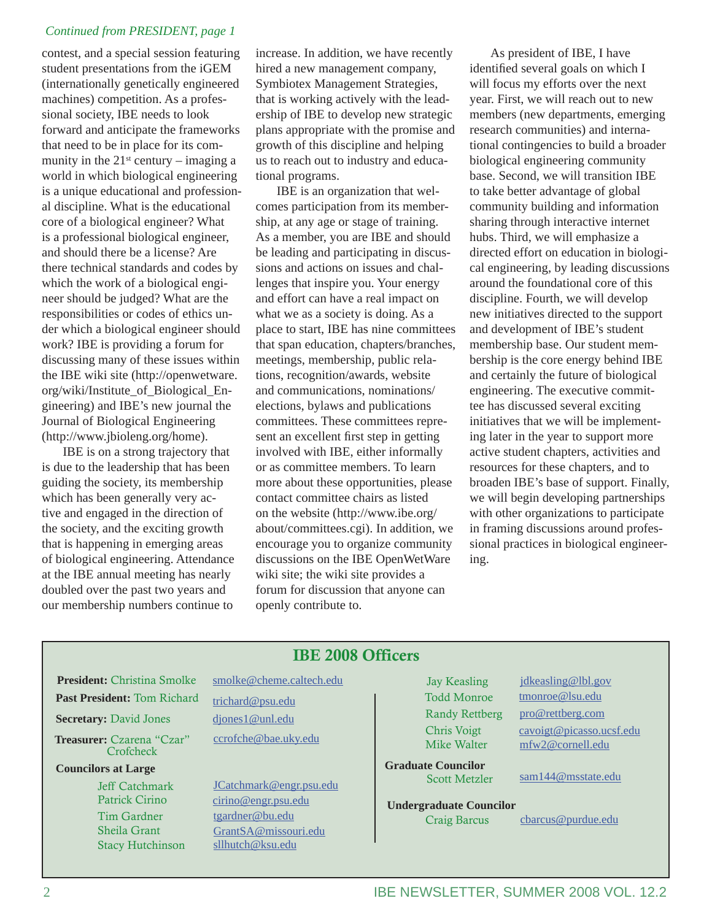#### *Continued from PRESIDENT, page 1*

contest, and a special session featuring student presentations from the iGEM (internationally genetically engineered machines) competition. As a professional society, IBE needs to look forward and anticipate the frameworks that need to be in place for its community in the  $21^{st}$  century – imaging a world in which biological engineering is a unique educational and professional discipline. What is the educational core of a biological engineer? What is a professional biological engineer, and should there be a license? Are there technical standards and codes by which the work of a biological engineer should be judged? What are the responsibilities or codes of ethics under which a biological engineer should work? IBE is providing a forum for discussing many of these issues within the IBE wiki site (http://openwetware. org/wiki/Institute\_of\_Biological\_Engineering) and IBE's new journal the Journal of Biological Engineering (http://www.jbioleng.org/home).

 IBE is on a strong trajectory that is due to the leadership that has been guiding the society, its membership which has been generally very active and engaged in the direction of the society, and the exciting growth that is happening in emerging areas of biological engineering. Attendance at the IBE annual meeting has nearly doubled over the past two years and our membership numbers continue to

increase. In addition, we have recently hired a new management company, Symbiotex Management Strategies, that is working actively with the leadership of IBE to develop new strategic plans appropriate with the promise and growth of this discipline and helping us to reach out to industry and educational programs.

 IBE is an organization that welcomes participation from its membership, at any age or stage of training. As a member, you are IBE and should be leading and participating in discussions and actions on issues and challenges that inspire you. Your energy and effort can have a real impact on what we as a society is doing. As a place to start, IBE has nine committees that span education, chapters/branches, meetings, membership, public relations, recognition/awards, website and communications, nominations/ elections, bylaws and publications committees. These committees represent an excellent first step in getting involved with IBE, either informally or as committee members. To learn more about these opportunities, please contact committee chairs as listed on the website (http://www.ibe.org/ about/committees.cgi). In addition, we encourage you to organize community discussions on the IBE OpenWetWare wiki site; the wiki site provides a forum for discussion that anyone can openly contribute to.

 As president of IBE, I have identified several goals on which I will focus my efforts over the next year. First, we will reach out to new members (new departments, emerging research communities) and international contingencies to build a broader biological engineering community base. Second, we will transition IBE to take better advantage of global community building and information sharing through interactive internet hubs. Third, we will emphasize a directed effort on education in biological engineering, by leading discussions around the foundational core of this discipline. Fourth, we will develop new initiatives directed to the support and development of IBE's student membership base. Our student membership is the core energy behind IBE and certainly the future of biological engineering. The executive committee has discussed several exciting initiatives that we will be implementing later in the year to support more active student chapters, activities and resources for these chapters, and to broaden IBE's base of support. Finally, we will begin developing partnerships with other organizations to participate in framing discussions around professional practices in biological engineering.

## IBE 2008 Officers

- **President:** Christina Smolke smolke@cheme.caltech.edu
- **Secretary:** David Jones djones1@unl.edu

**Treasurer:** Czarena "Czar" ccrofche@bae.uky.edu **Crofcheck** 

**Councilors at Large**

Past President: Tom Richard trichard@psu.edu

 Jeff Catchmark JCatchmark@engr.psu.edu Patrick Cirino cirino@engr.psu.edu Tim Gardner tgardner@bu.edu Sheila Grant GrantSA@missouri.edu Stacy Hutchinson sllhutch@ksu.edu

Mike Walter mfw2@cornell.edu

**Graduate Councilor**

**Undergraduate Councilor**

Jay Keasling jdkeasling@lbl.gov Todd Monroe tmonroe@lsu.edu Randy Rettberg pro@rettberg.com Chris Voigt cavoigt@picasso.ucsf.edu

Scott Metzler sam144@msstate.edu

Craig Barcus cbarcus@purdue.edu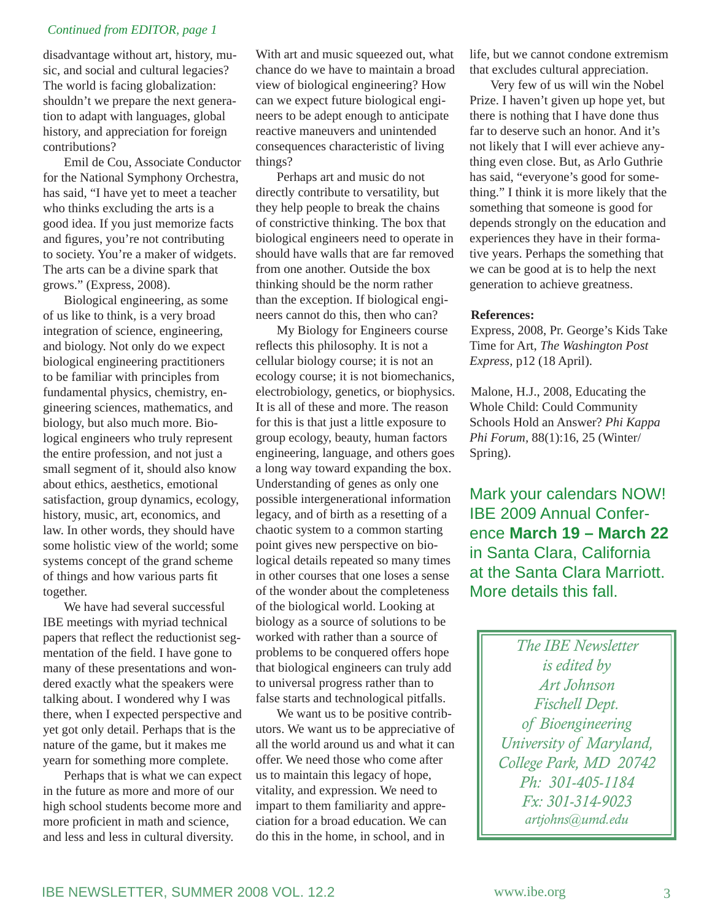#### *Continued from EDITOR, page 1*

disadvantage without art, history, music, and social and cultural legacies? The world is facing globalization: shouldn't we prepare the next generation to adapt with languages, global history, and appreciation for foreign contributions?

 Emil de Cou, Associate Conductor for the National Symphony Orchestra, has said, "I have yet to meet a teacher who thinks excluding the arts is a good idea. If you just memorize facts and figures, you're not contributing to society. You're a maker of widgets. The arts can be a divine spark that grows." (Express, 2008).

 Biological engineering, as some of us like to think, is a very broad integration of science, engineering, and biology. Not only do we expect biological engineering practitioners to be familiar with principles from fundamental physics, chemistry, engineering sciences, mathematics, and biology, but also much more. Biological engineers who truly represent the entire profession, and not just a small segment of it, should also know about ethics, aesthetics, emotional satisfaction, group dynamics, ecology, history, music, art, economics, and law. In other words, they should have some holistic view of the world; some systems concept of the grand scheme of things and how various parts fit together.

 We have had several successful IBE meetings with myriad technical papers that reflect the reductionist segmentation of the field. I have gone to many of these presentations and wondered exactly what the speakers were talking about. I wondered why I was there, when I expected perspective and yet got only detail. Perhaps that is the nature of the game, but it makes me yearn for something more complete.

 Perhaps that is what we can expect in the future as more and more of our high school students become more and more proficient in math and science, and less and less in cultural diversity.

With art and music squeezed out, what chance do we have to maintain a broad view of biological engineering? How can we expect future biological engineers to be adept enough to anticipate reactive maneuvers and unintended consequences characteristic of living things?

 Perhaps art and music do not directly contribute to versatility, but they help people to break the chains of constrictive thinking. The box that biological engineers need to operate in should have walls that are far removed from one another. Outside the box thinking should be the norm rather than the exception. If biological engineers cannot do this, then who can?

 My Biology for Engineers course reflects this philosophy. It is not a cellular biology course; it is not an ecology course; it is not biomechanics, electrobiology, genetics, or biophysics. It is all of these and more. The reason for this is that just a little exposure to group ecology, beauty, human factors engineering, language, and others goes a long way toward expanding the box. Understanding of genes as only one possible intergenerational information legacy, and of birth as a resetting of a chaotic system to a common starting point gives new perspective on biological details repeated so many times in other courses that one loses a sense of the wonder about the completeness of the biological world. Looking at biology as a source of solutions to be worked with rather than a source of problems to be conquered offers hope that biological engineers can truly add to universal progress rather than to false starts and technological pitfalls.

 We want us to be positive contributors. We want us to be appreciative of all the world around us and what it can offer. We need those who come after us to maintain this legacy of hope, vitality, and expression. We need to impart to them familiarity and appreciation for a broad education. We can do this in the home, in school, and in

life, but we cannot condone extremism that excludes cultural appreciation.

 Very few of us will win the Nobel Prize. I haven't given up hope yet, but there is nothing that I have done thus far to deserve such an honor. And it's not likely that I will ever achieve anything even close. But, as Arlo Guthrie has said, "everyone's good for something." I think it is more likely that the something that someone is good for depends strongly on the education and experiences they have in their formative years. Perhaps the something that we can be good at is to help the next generation to achieve greatness.

#### **References:**

Express, 2008, Pr. George's Kids Take Time for Art, *The Washington Post Express,* p12 (18 April).

Malone, H.J., 2008, Educating the Whole Child: Could Community Schools Hold an Answer? *Phi Kappa Phi Forum,* 88(1):16, 25 (Winter/ Spring).

Mark your calendars NOW! IBE 2009 Annual Conference **March 19 – March 22** in Santa Clara, California at the Santa Clara Marriott. More details this fall.

> *The IBE Newsletter is edited by Art Johnson Fischell Dept. of Bioengineering University of Maryland, College Park, MD 20742 Ph: 301-405-1184 Fx: 301-314-9023 artjohns@umd.edu*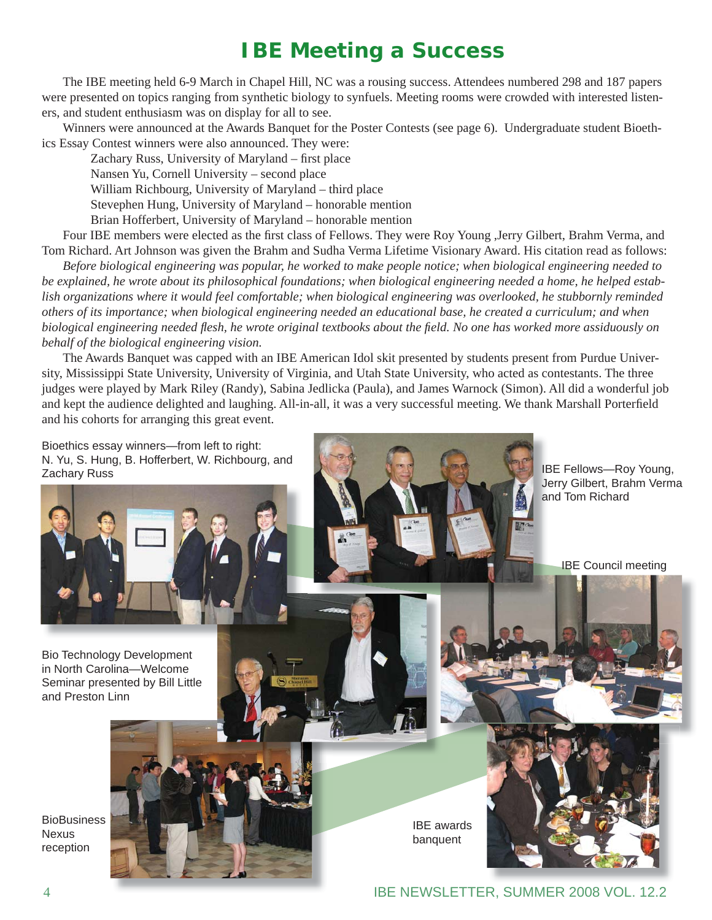# **IBE Meeting a Success**

 The IBE meeting held 6-9 March in Chapel Hill, NC was a rousing success. Attendees numbered 298 and 187 papers were presented on topics ranging from synthetic biology to synfuels. Meeting rooms were crowded with interested listeners, and student enthusiasm was on display for all to see.

 Winners were announced at the Awards Banquet for the Poster Contests (see page 6). Undergraduate student Bioethics Essay Contest winners were also announced. They were:

Zachary Russ, University of Maryland – first place

Nansen Yu, Cornell University – second place

William Richbourg, University of Maryland – third place

Stevephen Hung, University of Maryland – honorable mention

Brian Hofferbert, University of Maryland – honorable mention

Four IBE members were elected as the first class of Fellows. They were Roy Young ,Jerry Gilbert, Brahm Verma, and Tom Richard. Art Johnson was given the Brahm and Sudha Verma Lifetime Visionary Award. His citation read as follows:

 *Before biological engineering was popular, he worked to make people notice; when biological engineering needed to be explained, he wrote about its philosophical foundations; when biological engineering needed a home, he helped establish organizations where it would feel comfortable; when biological engineering was overlooked, he stubbornly reminded others of its importance; when biological engineering needed an educational base, he created a curriculum; and when biological engineering needed fl esh, he wrote original textbooks about the fi eld. No one has worked more assiduously on behalf of the biological engineering vision.*

 The Awards Banquet was capped with an IBE American Idol skit presented by students present from Purdue University, Mississippi State University, University of Virginia, and Utah State University, who acted as contestants. The three judges were played by Mark Riley (Randy), Sabina Jedlicka (Paula), and James Warnock (Simon). All did a wonderful job and kept the audience delighted and laughing. All-in-all, it was a very successful meeting. We thank Marshall Porterfield and his cohorts for arranging this great event.

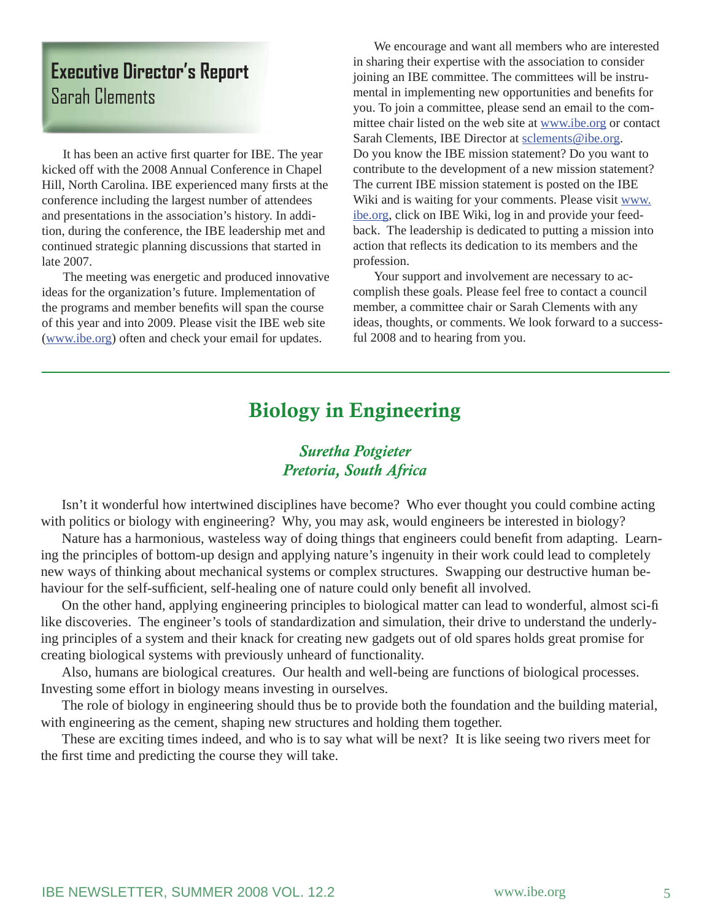# **Executive Director's Report** Sarah Clements

It has been an active first quarter for IBE. The year kicked off with the 2008 Annual Conference in Chapel Hill, North Carolina. IBE experienced many firsts at the conference including the largest number of attendees and presentations in the association's history. In addition, during the conference, the IBE leadership met and continued strategic planning discussions that started in late 2007.

 The meeting was energetic and produced innovative ideas for the organization's future. Implementation of the programs and member benefits will span the course of this year and into 2009. Please visit the IBE web site (www.ibe.org) often and check your email for updates.

 We encourage and want all members who are interested in sharing their expertise with the association to consider joining an IBE committee. The committees will be instrumental in implementing new opportunities and benefits for you. To join a committee, please send an email to the committee chair listed on the web site at www.ibe.org or contact Sarah Clements, IBE Director at sclements@ibe.org. Do you know the IBE mission statement? Do you want to contribute to the development of a new mission statement? The current IBE mission statement is posted on the IBE Wiki and is waiting for your comments. Please visit www. ibe.org, click on IBE Wiki, log in and provide your feedback. The leadership is dedicated to putting a mission into action that reflects its dedication to its members and the profession.

 Your support and involvement are necessary to accomplish these goals. Please feel free to contact a council member, a committee chair or Sarah Clements with any ideas, thoughts, or comments. We look forward to a successful 2008 and to hearing from you.

# Biology in Engineering

## *Suretha Potgieter Pretoria, South Africa*

 Isn't it wonderful how intertwined disciplines have become? Who ever thought you could combine acting with politics or biology with engineering? Why, you may ask, would engineers be interested in biology?

Nature has a harmonious, wasteless way of doing things that engineers could benefit from adapting. Learning the principles of bottom-up design and applying nature's ingenuity in their work could lead to completely new ways of thinking about mechanical systems or complex structures. Swapping our destructive human behaviour for the self-sufficient, self-healing one of nature could only benefit all involved.

 On the other hand, applying engineering principles to biological matter can lead to wonderful, almost sci-fi like discoveries. The engineer's tools of standardization and simulation, their drive to understand the underlying principles of a system and their knack for creating new gadgets out of old spares holds great promise for creating biological systems with previously unheard of functionality.

 Also, humans are biological creatures. Our health and well-being are functions of biological processes. Investing some effort in biology means investing in ourselves.

 The role of biology in engineering should thus be to provide both the foundation and the building material, with engineering as the cement, shaping new structures and holding them together.

 These are exciting times indeed, and who is to say what will be next? It is like seeing two rivers meet for the first time and predicting the course they will take.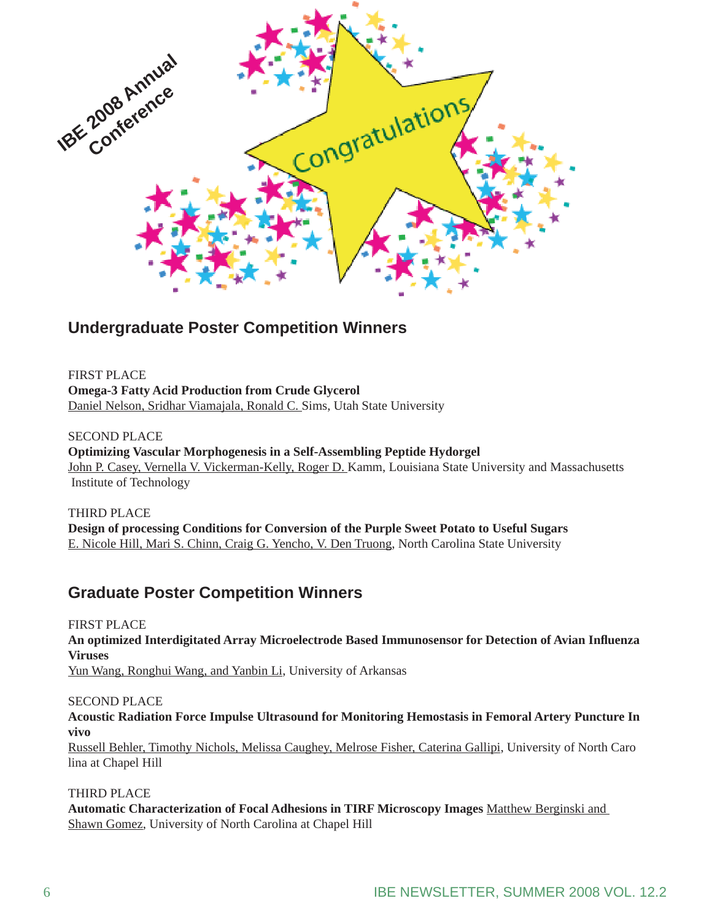

# **Undergraduate Poster Competition Winners**

FIRST PLACE **Omega-3 Fatty Acid Production from Crude Glycerol** Daniel Nelson, Sridhar Viamajala, Ronald C. Sims, Utah State University

SECOND PLACE **Optimizing Vascular Morphogenesis in a Self-Assembling Peptide Hydorgel** John P. Casey, Vernella V. Vickerman-Kelly, Roger D. Kamm, Louisiana State University and Massachusetts Institute of Technology

THIRD PLACE **Design of processing Conditions for Conversion of the Purple Sweet Potato to Useful Sugars**  E. Nicole Hill, Mari S. Chinn, Craig G. Yencho, V. Den Truong, North Carolina State University

# **Graduate Poster Competition Winners**

FIRST PLACE **An optimized Interdigitated Array Microelectrode Based Immunosensor for Detection of Avian Infl uenza Viruses** Yun Wang, Ronghui Wang, and Yanbin Li, University of Arkansas

SECOND PLACE **Acoustic Radiation Force Impulse Ultrasound for Monitoring Hemostasis in Femoral Artery Puncture In vivo** Russell Behler, Timothy Nichols, Melissa Caughey, Melrose Fisher, Caterina Gallipi, University of North Caro lina at Chapel Hill

#### THIRD PLACE

**Automatic Characterization of Focal Adhesions in TIRF Microscopy Images** Matthew Berginski and Shawn Gomez, University of North Carolina at Chapel Hill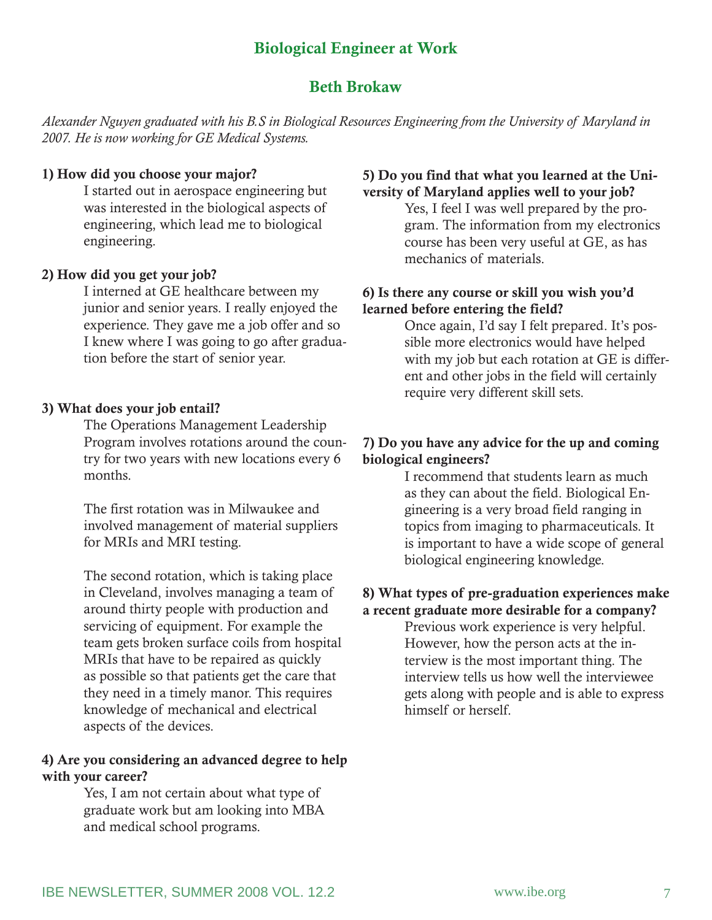# Biological Engineer at Work

## Beth Brokaw

*Alexander Nguyen graduated with his B.S in Biological Resources Engineering from the University of Maryland in 2007. He is now working for GE Medical Systems.*

#### 1) How did you choose your major?

I started out in aerospace engineering but was interested in the biological aspects of engineering, which lead me to biological engineering.

## 2) How did you get your job?

I interned at GE healthcare between my junior and senior years. I really enjoyed the experience. They gave me a job offer and so I knew where I was going to go after graduation before the start of senior year.

### 3) What does your job entail?

The Operations Management Leadership Program involves rotations around the country for two years with new locations every 6 months.

The first rotation was in Milwaukee and involved management of material suppliers for MRIs and MRI testing.

The second rotation, which is taking place in Cleveland, involves managing a team of around thirty people with production and servicing of equipment. For example the team gets broken surface coils from hospital MRIs that have to be repaired as quickly as possible so that patients get the care that they need in a timely manor. This requires knowledge of mechanical and electrical aspects of the devices.

### 4) Are you considering an advanced degree to help with your career?

Yes, I am not certain about what type of graduate work but am looking into MBA and medical school programs.

### 5) Do you find that what you learned at the University of Maryland applies well to your job?

Yes, I feel I was well prepared by the program. The information from my electronics course has been very useful at GE, as has mechanics of materials.

#### 6) Is there any course or skill you wish you'd learned before entering the field?

Once again, I'd say I felt prepared. It's possible more electronics would have helped with my job but each rotation at GE is different and other jobs in the field will certainly require very different skill sets.

### 7) Do you have any advice for the up and coming biological engineers?

I recommend that students learn as much as they can about the field. Biological Engineering is a very broad field ranging in topics from imaging to pharmaceuticals. It is important to have a wide scope of general biological engineering knowledge.

#### 8) What types of pre-graduation experiences make a recent graduate more desirable for a company?

Previous work experience is very helpful. However, how the person acts at the interview is the most important thing. The interview tells us how well the interviewee gets along with people and is able to express himself or herself.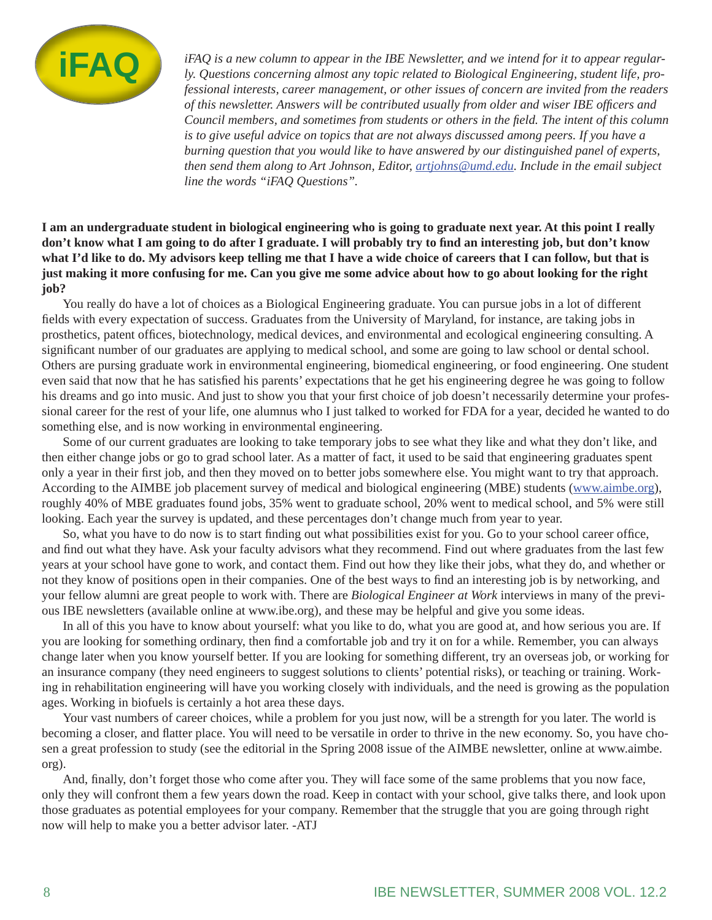

*iFAQ is a new column to appear in the IBE Newsletter, and we intend for it to appear regularly. Questions concerning almost any topic related to Biological Engineering, student life, professional interests, career management, or other issues of concern are invited from the readers of this newsletter. Answers will be contributed usually from older and wiser IBE offi cers and Council members, and sometimes from students or others in the fi eld. The intent of this column is to give useful advice on topics that are not always discussed among peers. If you have a burning question that you would like to have answered by our distinguished panel of experts, then send them along to Art Johnson, Editor, artjohns@umd.edu. Include in the email subject line the words "iFAQ Questions".*

**I am an undergraduate student in biological engineering who is going to graduate next year. At this point I really**  don't know what I am going to do after I graduate. I will probably try to find an interesting job, but don't know **what I'd like to do. My advisors keep telling me that I have a wide choice of careers that I can follow, but that is just making it more confusing for me. Can you give me some advice about how to go about looking for the right job?**

 You really do have a lot of choices as a Biological Engineering graduate. You can pursue jobs in a lot of different fields with every expectation of success. Graduates from the University of Maryland, for instance, are taking jobs in prosthetics, patent offices, biotechnology, medical devices, and environmental and ecological engineering consulting. A significant number of our graduates are applying to medical school, and some are going to law school or dental school. Others are pursing graduate work in environmental engineering, biomedical engineering, or food engineering. One student even said that now that he has satisfied his parents' expectations that he get his engineering degree he was going to follow his dreams and go into music. And just to show you that your first choice of job doesn't necessarily determine your professional career for the rest of your life, one alumnus who I just talked to worked for FDA for a year, decided he wanted to do something else, and is now working in environmental engineering.

 Some of our current graduates are looking to take temporary jobs to see what they like and what they don't like, and then either change jobs or go to grad school later. As a matter of fact, it used to be said that engineering graduates spent only a year in their first job, and then they moved on to better jobs somewhere else. You might want to try that approach. According to the AIMBE job placement survey of medical and biological engineering (MBE) students (www.aimbe.org), roughly 40% of MBE graduates found jobs, 35% went to graduate school, 20% went to medical school, and 5% were still looking. Each year the survey is updated, and these percentages don't change much from year to year.

So, what you have to do now is to start finding out what possibilities exist for you. Go to your school career office, and find out what they have. Ask your faculty advisors what they recommend. Find out where graduates from the last few years at your school have gone to work, and contact them. Find out how they like their jobs, what they do, and whether or not they know of positions open in their companies. One of the best ways to find an interesting job is by networking, and your fellow alumni are great people to work with. There are *Biological Engineer at Work* interviews in many of the previous IBE newsletters (available online at www.ibe.org), and these may be helpful and give you some ideas.

 In all of this you have to know about yourself: what you like to do, what you are good at, and how serious you are. If you are looking for something ordinary, then find a comfortable job and try it on for a while. Remember, you can always change later when you know yourself better. If you are looking for something different, try an overseas job, or working for an insurance company (they need engineers to suggest solutions to clients' potential risks), or teaching or training. Working in rehabilitation engineering will have you working closely with individuals, and the need is growing as the population ages. Working in biofuels is certainly a hot area these days.

Your vast numbers of career choices, while a problem for you just now, will be a strength for you later. The world is becoming a closer, and flatter place. You will need to be versatile in order to thrive in the new economy. So, you have chosen a great profession to study (see the editorial in the Spring 2008 issue of the AIMBE newsletter, online at www.aimbe. org).

And, finally, don't forget those who come after you. They will face some of the same problems that you now face, only they will confront them a few years down the road. Keep in contact with your school, give talks there, and look upon those graduates as potential employees for your company. Remember that the struggle that you are going through right now will help to make you a better advisor later. -ATJ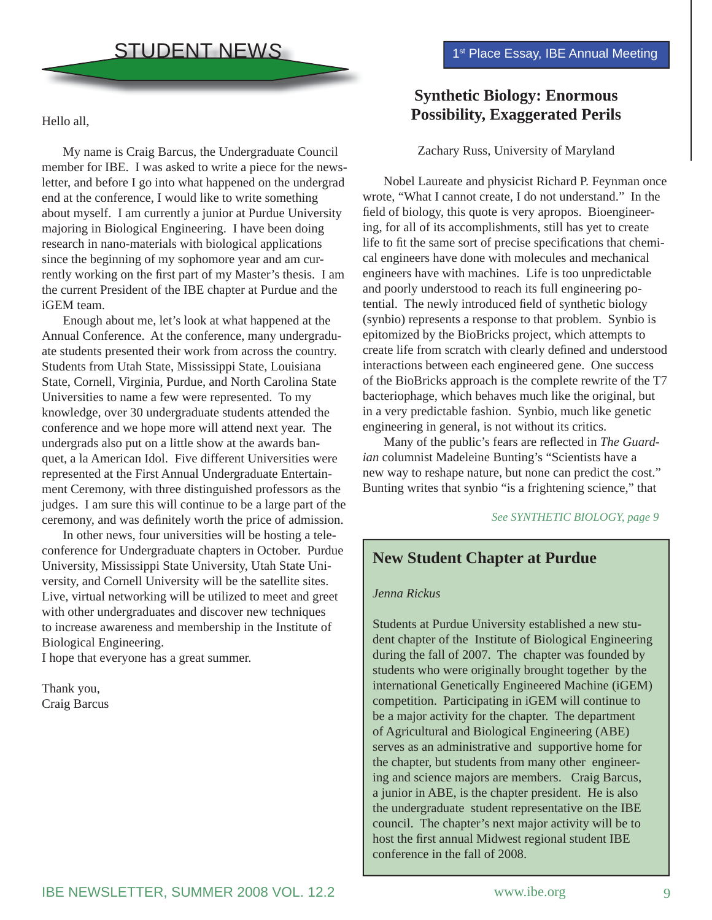Hello all,

 My name is Craig Barcus, the Undergraduate Council member for IBE. I was asked to write a piece for the newsletter, and before I go into what happened on the undergrad end at the conference, I would like to write something about myself. I am currently a junior at Purdue University majoring in Biological Engineering. I have been doing research in nano-materials with biological applications since the beginning of my sophomore year and am currently working on the first part of my Master's thesis. I am the current President of the IBE chapter at Purdue and the iGEM team.

 Enough about me, let's look at what happened at the Annual Conference. At the conference, many undergraduate students presented their work from across the country. Students from Utah State, Mississippi State, Louisiana State, Cornell, Virginia, Purdue, and North Carolina State Universities to name a few were represented. To my knowledge, over 30 undergraduate students attended the conference and we hope more will attend next year. The undergrads also put on a little show at the awards banquet, a la American Idol. Five different Universities were represented at the First Annual Undergraduate Entertainment Ceremony, with three distinguished professors as the judges. I am sure this will continue to be a large part of the ceremony, and was definitely worth the price of admission.

 In other news, four universities will be hosting a teleconference for Undergraduate chapters in October. Purdue University, Mississippi State University, Utah State University, and Cornell University will be the satellite sites. Live, virtual networking will be utilized to meet and greet with other undergraduates and discover new techniques to increase awareness and membership in the Institute of Biological Engineering.

I hope that everyone has a great summer.

Thank you, Craig Barcus

## **Synthetic Biology: Enormous Possibility, Exaggerated Perils**

#### Zachary Russ, University of Maryland

 Nobel Laureate and physicist Richard P. Feynman once wrote, "What I cannot create, I do not understand." In the field of biology, this quote is very apropos. Bioengineering, for all of its accomplishments, still has yet to create life to fit the same sort of precise specifications that chemical engineers have done with molecules and mechanical engineers have with machines. Life is too unpredictable and poorly understood to reach its full engineering potential. The newly introduced field of synthetic biology (synbio) represents a response to that problem. Synbio is epitomized by the BioBricks project, which attempts to create life from scratch with clearly defined and understood interactions between each engineered gene. One success of the BioBricks approach is the complete rewrite of the T7 bacteriophage, which behaves much like the original, but in a very predictable fashion. Synbio, much like genetic engineering in general, is not without its critics.

Many of the public's fears are reflected in *The Guardian* columnist Madeleine Bunting's "Scientists have a new way to reshape nature, but none can predict the cost." Bunting writes that synbio "is a frightening science," that

*See SYNTHETIC BIOLOGY, page 9*

## **New Student Chapter at Purdue**

#### *Jenna Rickus*

Students at Purdue University established a new student chapter of the Institute of Biological Engineering during the fall of 2007. The chapter was founded by students who were originally brought together by the international Genetically Engineered Machine (iGEM) competition. Participating in iGEM will continue to be a major activity for the chapter. The department of Agricultural and Biological Engineering (ABE) serves as an administrative and supportive home for the chapter, but students from many other engineering and science majors are members. Craig Barcus, a junior in ABE, is the chapter president. He is also the undergraduate student representative on the IBE council. The chapter's next major activity will be to host the first annual Midwest regional student IBE conference in the fall of 2008.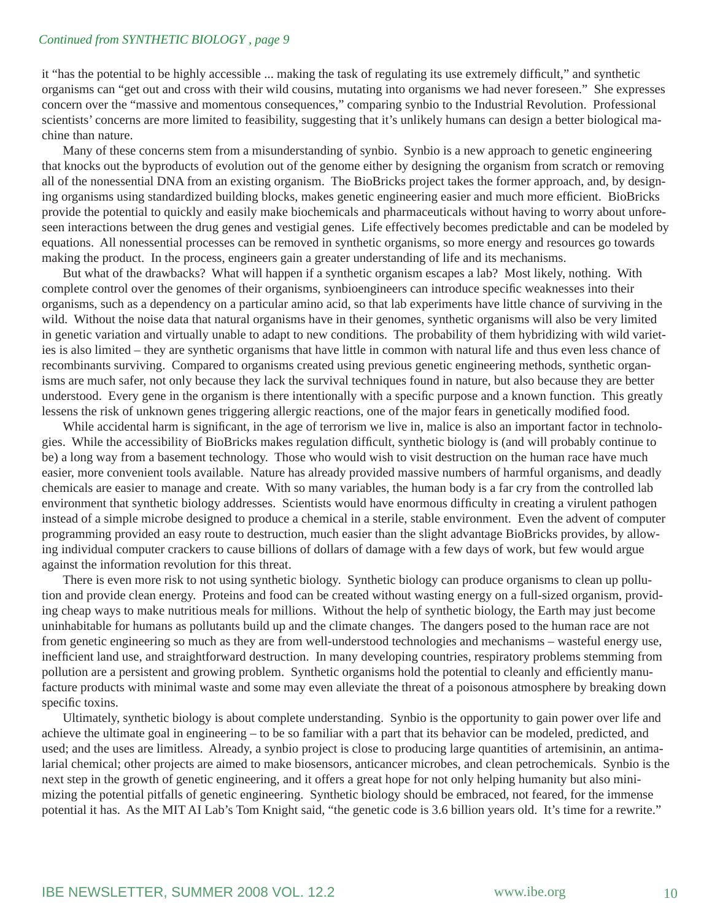#### *Continued from SYNTHETIC BIOLOGY , page 9*

it "has the potential to be highly accessible ... making the task of regulating its use extremely difficult," and synthetic organisms can "get out and cross with their wild cousins, mutating into organisms we had never foreseen." She expresses concern over the "massive and momentous consequences," comparing synbio to the Industrial Revolution. Professional scientists' concerns are more limited to feasibility, suggesting that it's unlikely humans can design a better biological machine than nature.

 Many of these concerns stem from a misunderstanding of synbio. Synbio is a new approach to genetic engineering that knocks out the byproducts of evolution out of the genome either by designing the organism from scratch or removing all of the nonessential DNA from an existing organism. The BioBricks project takes the former approach, and, by designing organisms using standardized building blocks, makes genetic engineering easier and much more efficient. BioBricks provide the potential to quickly and easily make biochemicals and pharmaceuticals without having to worry about unforeseen interactions between the drug genes and vestigial genes. Life effectively becomes predictable and can be modeled by equations. All nonessential processes can be removed in synthetic organisms, so more energy and resources go towards making the product. In the process, engineers gain a greater understanding of life and its mechanisms.

 But what of the drawbacks? What will happen if a synthetic organism escapes a lab? Most likely, nothing. With complete control over the genomes of their organisms, synbioengineers can introduce specific weaknesses into their organisms, such as a dependency on a particular amino acid, so that lab experiments have little chance of surviving in the wild. Without the noise data that natural organisms have in their genomes, synthetic organisms will also be very limited in genetic variation and virtually unable to adapt to new conditions. The probability of them hybridizing with wild varieties is also limited – they are synthetic organisms that have little in common with natural life and thus even less chance of recombinants surviving. Compared to organisms created using previous genetic engineering methods, synthetic organisms are much safer, not only because they lack the survival techniques found in nature, but also because they are better understood. Every gene in the organism is there intentionally with a specific purpose and a known function. This greatly lessens the risk of unknown genes triggering allergic reactions, one of the major fears in genetically modified food.

While accidental harm is significant, in the age of terrorism we live in, malice is also an important factor in technologies. While the accessibility of BioBricks makes regulation difficult, synthetic biology is (and will probably continue to be) a long way from a basement technology. Those who would wish to visit destruction on the human race have much easier, more convenient tools available. Nature has already provided massive numbers of harmful organisms, and deadly chemicals are easier to manage and create. With so many variables, the human body is a far cry from the controlled lab environment that synthetic biology addresses. Scientists would have enormous difficulty in creating a virulent pathogen instead of a simple microbe designed to produce a chemical in a sterile, stable environment. Even the advent of computer programming provided an easy route to destruction, much easier than the slight advantage BioBricks provides, by allowing individual computer crackers to cause billions of dollars of damage with a few days of work, but few would argue against the information revolution for this threat.

 There is even more risk to not using synthetic biology. Synthetic biology can produce organisms to clean up pollution and provide clean energy. Proteins and food can be created without wasting energy on a full-sized organism, providing cheap ways to make nutritious meals for millions. Without the help of synthetic biology, the Earth may just become uninhabitable for humans as pollutants build up and the climate changes. The dangers posed to the human race are not from genetic engineering so much as they are from well-understood technologies and mechanisms – wasteful energy use, inefficient land use, and straightforward destruction. In many developing countries, respiratory problems stemming from pollution are a persistent and growing problem. Synthetic organisms hold the potential to cleanly and efficiently manufacture products with minimal waste and some may even alleviate the threat of a poisonous atmosphere by breaking down specific toxins.

 Ultimately, synthetic biology is about complete understanding. Synbio is the opportunity to gain power over life and achieve the ultimate goal in engineering – to be so familiar with a part that its behavior can be modeled, predicted, and used; and the uses are limitless. Already, a synbio project is close to producing large quantities of artemisinin, an antimalarial chemical; other projects are aimed to make biosensors, anticancer microbes, and clean petrochemicals. Synbio is the next step in the growth of genetic engineering, and it offers a great hope for not only helping humanity but also minimizing the potential pitfalls of genetic engineering. Synthetic biology should be embraced, not feared, for the immense potential it has. As the MIT AI Lab's Tom Knight said, "the genetic code is 3.6 billion years old. It's time for a rewrite."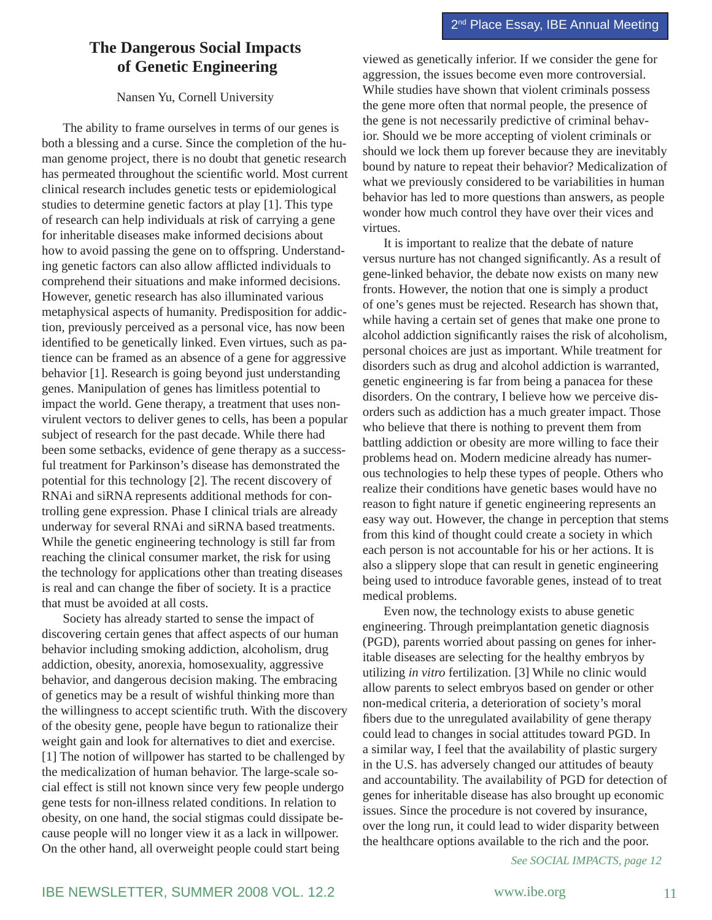## **The Dangerous Social Impacts of Genetic Engineering**

#### Nansen Yu, Cornell University

 The ability to frame ourselves in terms of our genes is both a blessing and a curse. Since the completion of the human genome project, there is no doubt that genetic research has permeated throughout the scientific world. Most current clinical research includes genetic tests or epidemiological studies to determine genetic factors at play [1]. This type of research can help individuals at risk of carrying a gene for inheritable diseases make informed decisions about how to avoid passing the gene on to offspring. Understanding genetic factors can also allow afflicted individuals to comprehend their situations and make informed decisions. However, genetic research has also illuminated various metaphysical aspects of humanity. Predisposition for addiction, previously perceived as a personal vice, has now been identified to be genetically linked. Even virtues, such as patience can be framed as an absence of a gene for aggressive behavior [1]. Research is going beyond just understanding genes. Manipulation of genes has limitless potential to impact the world. Gene therapy, a treatment that uses nonvirulent vectors to deliver genes to cells, has been a popular subject of research for the past decade. While there had been some setbacks, evidence of gene therapy as a successful treatment for Parkinson's disease has demonstrated the potential for this technology [2]. The recent discovery of RNAi and siRNA represents additional methods for controlling gene expression. Phase I clinical trials are already underway for several RNAi and siRNA based treatments. While the genetic engineering technology is still far from reaching the clinical consumer market, the risk for using the technology for applications other than treating diseases is real and can change the fiber of society. It is a practice that must be avoided at all costs.

 Society has already started to sense the impact of discovering certain genes that affect aspects of our human behavior including smoking addiction, alcoholism, drug addiction, obesity, anorexia, homosexuality, aggressive behavior, and dangerous decision making. The embracing of genetics may be a result of wishful thinking more than the willingness to accept scientific truth. With the discovery of the obesity gene, people have begun to rationalize their weight gain and look for alternatives to diet and exercise. [1] The notion of willpower has started to be challenged by the medicalization of human behavior. The large-scale social effect is still not known since very few people undergo gene tests for non-illness related conditions. In relation to obesity, on one hand, the social stigmas could dissipate because people will no longer view it as a lack in willpower. On the other hand, all overweight people could start being

viewed as genetically inferior. If we consider the gene for aggression, the issues become even more controversial. While studies have shown that violent criminals possess the gene more often that normal people, the presence of the gene is not necessarily predictive of criminal behavior. Should we be more accepting of violent criminals or should we lock them up forever because they are inevitably bound by nature to repeat their behavior? Medicalization of what we previously considered to be variabilities in human behavior has led to more questions than answers, as people wonder how much control they have over their vices and virtues.

 It is important to realize that the debate of nature versus nurture has not changed significantly. As a result of gene-linked behavior, the debate now exists on many new fronts. However, the notion that one is simply a product of one's genes must be rejected. Research has shown that, while having a certain set of genes that make one prone to alcohol addiction significantly raises the risk of alcoholism, personal choices are just as important. While treatment for disorders such as drug and alcohol addiction is warranted, genetic engineering is far from being a panacea for these disorders. On the contrary, I believe how we perceive disorders such as addiction has a much greater impact. Those who believe that there is nothing to prevent them from battling addiction or obesity are more willing to face their problems head on. Modern medicine already has numerous technologies to help these types of people. Others who realize their conditions have genetic bases would have no reason to fight nature if genetic engineering represents an easy way out. However, the change in perception that stems from this kind of thought could create a society in which each person is not accountable for his or her actions. It is also a slippery slope that can result in genetic engineering being used to introduce favorable genes, instead of to treat medical problems.

 Even now, the technology exists to abuse genetic engineering. Through preimplantation genetic diagnosis (PGD), parents worried about passing on genes for inheritable diseases are selecting for the healthy embryos by utilizing *in vitro* fertilization. [3] While no clinic would allow parents to select embryos based on gender or other non-medical criteria, a deterioration of society's moral fibers due to the unregulated availability of gene therapy could lead to changes in social attitudes toward PGD. In a similar way, I feel that the availability of plastic surgery in the U.S. has adversely changed our attitudes of beauty and accountability. The availability of PGD for detection of genes for inheritable disease has also brought up economic issues. Since the procedure is not covered by insurance, over the long run, it could lead to wider disparity between the healthcare options available to the rich and the poor.

*See SOCIAL IMPACTS, page 12*